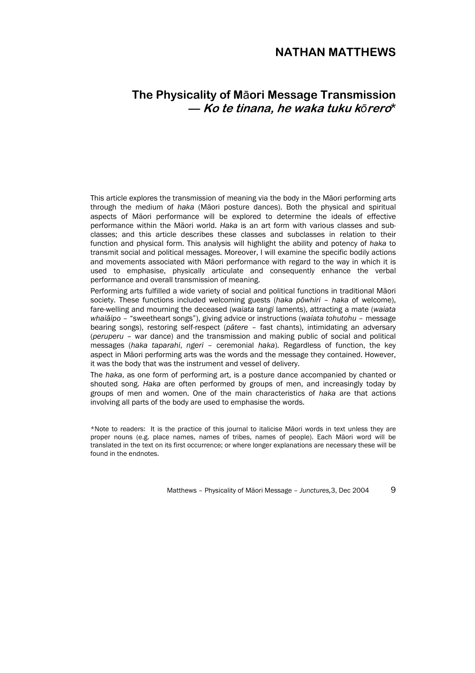## **NATHAN MATTHEWS**

# **The Physicality of M**ā**ori Message Transmission — Ko te tinana, he waka tuku k***ō***rero\***

This article explores the transmission of meaning via the body in the Māori performing arts through the medium of *haka* (Māori posture dances). Both the physical and spiritual aspects of Māori performance will be explored to determine the ideals of effective performance within the Māori world. *Haka* is an art form with various classes and subclasses; and this article describes these classes and subclasses in relation to their function and physical form. This analysis will highlight the ability and potency of *haka* to transmit social and political messages. Moreover, I will examine the specific bodily actions and movements associated with Māori performance with regard to the way in which it is used to emphasise, physically articulate and consequently enhance the verbal performance and overall transmission of meaning.

Performing arts fulfilled a wide variety of social and political functions in traditional Māori society. These functions included welcoming guests (*haka pōwhiri* – *haka* of welcome), fare-welling and mourning the deceased (*waiata tangi* laments), attracting a mate (*waiata whaiāipo* – "sweetheart songs"), giving advice or instructions (*waiata tohutohu* – message bearing songs), restoring self-respect (*pātere* – fast chants), intimidating an adversary (*peruperu* – war dance) and the transmission and making public of social and political messages (*haka taparahi*, *ngeri* – ceremonial *haka*). Regardless of function, the key aspect in Māori performing arts was the words and the message they contained. However, it was the body that was the instrument and vessel of delivery.

The *haka*, as one form of performing art, is a posture dance accompanied by chanted or shouted song. *Haka* are often performed by groups of men, and increasingly today by groups of men and women. One of the main characteristics of *haka* are that actions involving all parts of the body are used to emphasise the words.

\*Note to readers: It is the practice of this journal to italicise Māori words in text unless they are proper nouns (e.g. place names, names of tribes, names of people). Each Māori word will be translated in the text on its first occurrence; or where longer explanations are necessary these will be found in the endnotes.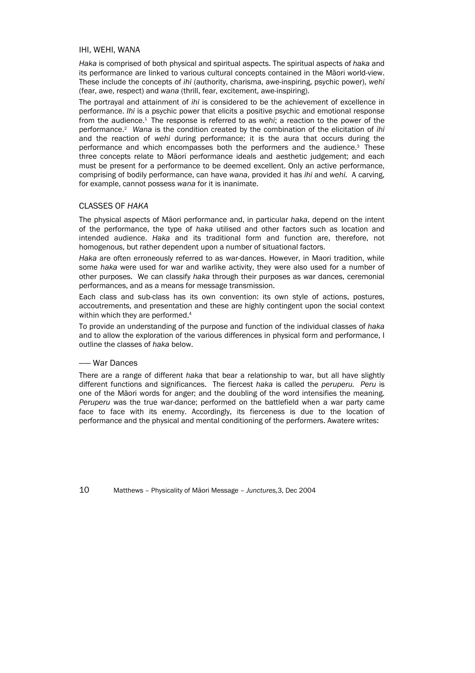## IHI, WEHI, WANA

*Haka* is comprised of both physical and spiritual aspects. The spiritual aspects of *haka* and its performance are linked to various cultural concepts contained in the Māori world-view. These include the concepts of *ihi* (authority, charisma, awe-inspiring, psychic power), *wehi*  (fear, awe, respect) and *wana* (thrill, fear, excitement, awe-inspiring).

The portrayal and attainment of *ihi* is considered to be the achievement of excellence in performance. *Ihi* is a psychic power that elicits a positive psychic and emotional response from the audience.1 The response is referred to as *wehi*; a reaction to the power of the performance.2 *Wana* is the condition created by the combination of the elicitation of *ihi* and the reaction of *wehi* during performance; it is the aura that occurs during the performance and which encompasses both the performers and the audience.3 These three concepts relate to Māori performance ideals and aesthetic judgement; and each must be present for a performance to be deemed excellent. Only an active performance, comprising of bodily performance, can have *wana*, provided it has *ihi* and *wehi.* A carving, for example, cannot possess *wana* for it is inanimate.

## CLASSES OF *HAKA*

The physical aspects of Māori performance and, in particular *haka*, depend on the intent of the performance, the type of *haka* utilised and other factors such as location and intended audience. *Haka* and its traditional form and function are, therefore, not homogenous, but rather dependent upon a number of situational factors.

*Haka* are often erroneously referred to as war-dances. However, in Maori tradition, while some *haka* were used for war and warlike activity, they were also used for a number of other purposes. We can classify *haka* through their purposes as war dances, ceremonial performances, and as a means for message transmission.

Each class and sub-class has its own convention: its own style of actions, postures, accoutrements, and presentation and these are highly contingent upon the social context within which they are performed.<sup>4</sup>

To provide an understanding of the purpose and function of the individual classes of *haka* and to allow the exploration of the various differences in physical form and performance, I outline the classes of *haka* below.

### —— War Dances

There are a range of different *haka* that bear a relationship to war, but all have slightly different functions and significances. The fiercest *haka* is called the *peruperu. Peru* is one of the Māori words for anger; and the doubling of the word intensifies the meaning. *Peruperu* was the true war-dance; performed on the battlefield when a war party came face to face with its enemy. Accordingly, its fierceness is due to the location of performance and the physical and mental conditioning of the performers. Awatere writes: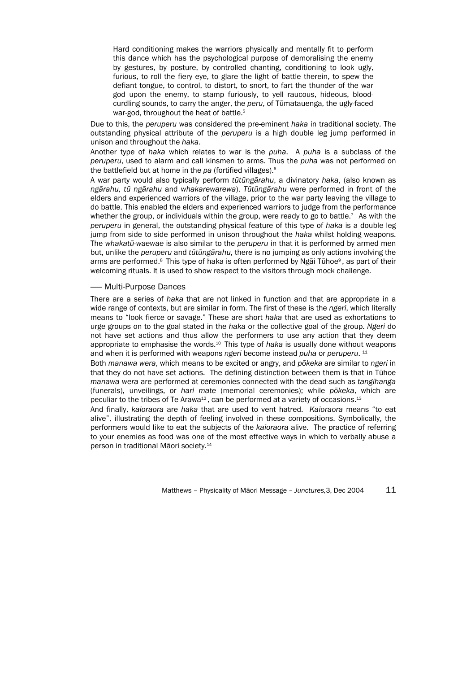Hard conditioning makes the warriors physically and mentally fit to perform this dance which has the psychological purpose of demoralising the enemy by gestures, by posture, by controlled chanting, conditioning to look ugly, furious, to roll the fiery eye, to glare the light of battle therein, to spew the defiant tongue, to control, to distort, to snort, to fart the thunder of the war god upon the enemy, to stamp furiously, to yell raucous, hideous, bloodcurdling sounds, to carry the anger, the *peru*, of Tūmatauenga, the ugly-faced war-god, throughout the heat of battle.<sup>5</sup>

Due to this, the *peruperu* was considered the pre-eminent *haka* in traditional society. The outstanding physical attribute of the *peruperu* is a high double leg jump performed in unison and throughout the *haka*.

Another type of *haka* which relates to war is the *puha*. A *puha* is a subclass of the *peruperu*, used to alarm and call kinsmen to arms. Thus the *puha* was not performed on the battlefield but at home in the *pa* (fortified villages).6

A war party would also typically perform *tūtūngārahu*, a divinatory *haka*, (also known as *ngārahu, tū ngārahu* and *whakarewarewa*). *Tūtūngārahu* were performed in front of the elders and experienced warriors of the village, prior to the war party leaving the village to do battle. This enabled the elders and experienced warriors to judge from the performance whether the group, or individuals within the group, were ready to go to battle.<sup>7</sup> As with the *peruperu* in general, the outstanding physical feature of this type of *haka* is a double leg jump from side to side performed in unison throughout the *haka* whilst holding weapons. The *whakatū-waewae* is also similar to the *peruperu* in that it is performed by armed men but, unlike the *peruperu* and *tūtūngārahu*, there is no jumping as only actions involving the arms are performed.<sup>8</sup> This type of haka is often performed by Ngai Tūhoe<sup>9</sup>, as part of their welcoming rituals. It is used to show respect to the visitors through mock challenge.

### —— Multi-Purpose Dances

There are a series of *haka* that are not linked in function and that are appropriate in a wide range of contexts, but are similar in form. The first of these is the *ngeri*, which literally means to "look fierce or savage." These are short *haka* that are used as exhortations to urge groups on to the goal stated in the *haka* or the collective goal of the group. *Ngeri* do not have set actions and thus allow the performers to use any action that they deem appropriate to emphasise the words.10 This type of *haka* is usually done without weapons and when it is performed with weapons *ngeri* become instead *puha* or *peruperu*. 11

Both *manawa wera*, which means to be excited or angry, and *pōkeka* are similar to *ngeri* in that they do not have set actions. The defining distinction between them is that in Tūhoe *manawa wera* are performed at ceremonies connected with the dead such as *tangihanga* (funerals), unveilings, or *hari mate* (memorial ceremonies); while *pōkeka*, which are peculiar to the tribes of Te Arawa<sup>12</sup>, can be performed at a variety of occasions.<sup>13</sup>

And finally, *kaioraora* are *haka* that are used to vent hatred. *Kaioraora* means "to eat alive", illustrating the depth of feeling involved in these compositions. Symbolically, the performers would like to eat the subjects of the *kaioraora* alive. The practice of referring to your enemies as food was one of the most effective ways in which to verbally abuse a person in traditional Māori society.14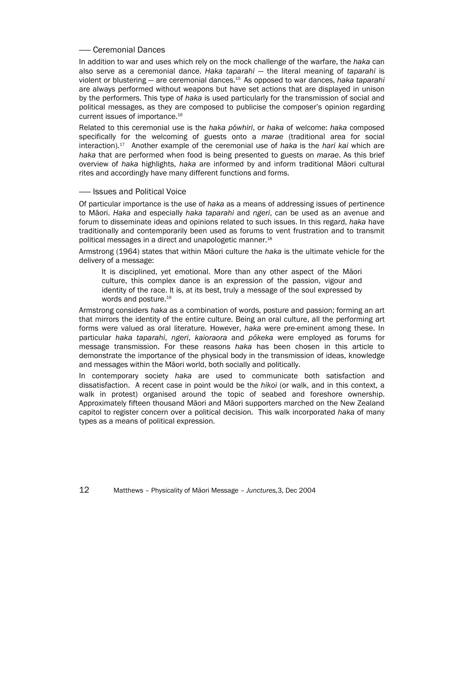## —— Ceremonial Dances

In addition to war and uses which rely on the mock challenge of the warfare, the *haka* can also serve as a ceremonial dance. *Haka taparahi* — the literal meaning of *taparahi* is violent or blustering — are ceremonial dances.15 As opposed to war dances, *haka taparahi* are always performed without weapons but have set actions that are displayed in unison by the performers. This type of *haka* is used particularly for the transmission of social and political messages, as they are composed to publicise the composer's opinion regarding current issues of importance.16

Related to this ceremonial use is the *haka pōwhiri*, or *haka* of welcome: *haka* composed specifically for the welcoming of guests onto a *marae* (traditional area for social interaction).17 Another example of the ceremonial use of *haka* is the *hari kai* which are *haka* that are performed when food is being presented to guests on *marae*. As this brief overview of *haka* highlights, *haka* are informed by and inform traditional Māori cultural rites and accordingly have many different functions and forms.

## —— Issues and Political Voice

Of particular importance is the use of *haka* as a means of addressing issues of pertinence to Māori. *Haka* and especially *haka taparahi* and *ngeri*, can be used as an avenue and forum to disseminate ideas and opinions related to such issues. In this regard, *haka* have traditionally and contemporarily been used as forums to vent frustration and to transmit political messages in a direct and unapologetic manner.18

Armstrong (1964) states that within Māori culture the *haka* is the ultimate vehicle for the delivery of a message:

It is disciplined, yet emotional. More than any other aspect of the Māori culture, this complex dance is an expression of the passion, vigour and identity of the race. It is, at its best, truly a message of the soul expressed by words and posture.19

Armstrong considers *haka* as a combination of words, posture and passion; forming an art that mirrors the identity of the entire culture. Being an oral culture, all the performing art forms were valued as oral literature. However, *haka* were pre-eminent among these. In particular *haka taparahi*, *ngeri*, *kaioraora* and *pōkeka* were employed as forums for message transmission. For these reasons *haka* has been chosen in this article to demonstrate the importance of the physical body in the transmission of ideas, knowledge and messages within the Māori world, both socially and politically.

In contemporary society *haka* are used to communicate both satisfaction and dissatisfaction. A recent case in point would be the *hikoi* (or walk, and in this context, a walk in protest) organised around the topic of seabed and foreshore ownership. Approximately fifteen thousand Māori and Māori supporters marched on the New Zealand capitol to register concern over a political decision. This walk incorporated *haka* of many types as a means of political expression.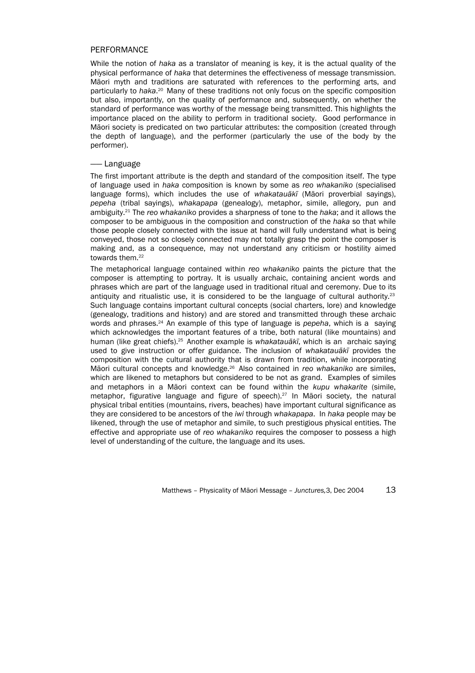## PERFORMANCE

While the notion of *haka* as a translator of meaning is key, it is the actual quality of the physical performance of *haka* that determines the effectiveness of message transmission. Māori myth and traditions are saturated with references to the performing arts, and particularly to haka.<sup>20</sup> Many of these traditions not only focus on the specific composition but also, importantly, on the quality of performance and, subsequently, on whether the standard of performance was worthy of the message being transmitted. This highlights the importance placed on the ability to perform in traditional society. Good performance in Māori society is predicated on two particular attributes: the composition (created through the depth of language), and the performer (particularly the use of the body by the performer).

### —— Language

The first important attribute is the depth and standard of the composition itself. The type of language used in *haka* composition is known by some as *reo whakaniko* (specialised language forms), which includes the use of *whakatauākī* (Māori proverbial sayings), *pepeha* (tribal sayings), *whakapapa* (genealogy), metaphor, simile, allegory, pun and ambiguity.21 The *reo whakaniko* provides a sharpness of tone to the *haka*; and it allows the composer to be ambiguous in the composition and construction of the *haka* so that while those people closely connected with the issue at hand will fully understand what is being conveyed, those not so closely connected may not totally grasp the point the composer is making and, as a consequence, may not understand any criticism or hostility aimed towards them.<sup>22</sup>

The metaphorical language contained within *reo whakaniko* paints the picture that the composer is attempting to portray. It is usually archaic, containing ancient words and phrases which are part of the language used in traditional ritual and ceremony. Due to its antiquity and ritualistic use, it is considered to be the language of cultural authority.<sup>23</sup> Such language contains important cultural concepts (social charters, lore) and knowledge (genealogy, traditions and history) and are stored and transmitted through these archaic words and phrases.24 An example of this type of language is *pepeha*, which is a saying which acknowledges the important features of a tribe, both natural (like mountains) and human (like great chiefs).25 Another example is *whakatauākī*, which is an archaic saying used to give instruction or offer guidance. The inclusion of *whakatauākī* provides the composition with the cultural authority that is drawn from tradition, while incorporating Māori cultural concepts and knowledge.26 Also contained in *reo whakaniko* are similes, which are likened to metaphors but considered to be not as grand. Examples of similes and metaphors in a Māori context can be found within the *kupu whakarite* (simile, metaphor, figurative language and figure of speech).27 In Māori society, the natural physical tribal entities (mountains, rivers, beaches) have important cultural significance as they are considered to be ancestors of the *iwi* through *whakapapa*. In *haka* people may be likened, through the use of metaphor and simile, to such prestigious physical entities. The effective and appropriate use of *reo whakaniko* requires the composer to possess a high level of understanding of the culture, the language and its uses.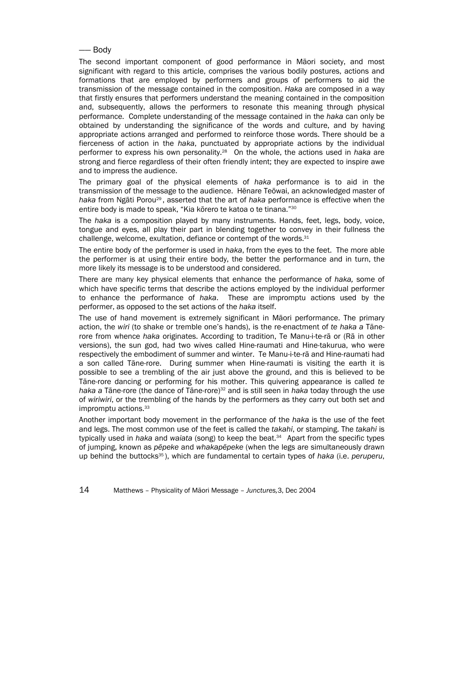## —— Body

The second important component of good performance in Māori society, and most significant with regard to this article, comprises the various bodily postures, actions and formations that are employed by performers and groups of performers to aid the transmission of the message contained in the composition. *Haka* are composed in a way that firstly ensures that performers understand the meaning contained in the composition and, subsequently, allows the performers to resonate this meaning through physical performance. Complete understanding of the message contained in the *haka* can only be obtained by understanding the significance of the words and culture, and by having appropriate actions arranged and performed to reinforce those words. There should be a fierceness of action in the *haka*, punctuated by appropriate actions by the individual performer to express his own personality.28 On the whole, the actions used in *haka* are strong and fierce regardless of their often friendly intent; they are expected to inspire awe and to impress the audience.

The primary goal of the physical elements of *haka* performance is to aid in the transmission of the message to the audience. Hēnare Teōwai, an acknowledged master of *haka* from Ngāti Porou29 , asserted that the art of *haka* performance is effective when the entire body is made to speak, "Kia kōrero te katoa o te tinana."30

The *haka* is a composition played by many instruments. Hands, feet, legs, body, voice, tongue and eyes, all play their part in blending together to convey in their fullness the challenge, welcome, exultation, defiance or contempt of the words.<sup>31</sup>

The entire body of the performer is used in *haka*, from the eyes to the feet. The more able the performer is at using their entire body, the better the performance and in turn, the more likely its message is to be understood and considered.

There are many key physical elements that enhance the performance of *haka,* some of which have specific terms that describe the actions employed by the individual performer to enhance the performance of *haka*. These are impromptu actions used by the performer, as opposed to the set actions of the *haka* itself.

The use of hand movement is extremely significant in Māori performance. The primary action, the *wiri* (to shake or tremble one's hands), is the re-enactment of *te haka a* Tānerore from whence *haka* originates. According to tradition, Te Manu-i-te-rā or (Rā in other versions), the sun god, had two wives called Hine-raumati and Hine-takurua, who were respectively the embodiment of summer and winter. Te Manu-i-te-rā and Hine-raumati had a son called Tāne-rore. During summer when Hine-raumati is visiting the earth it is possible to see a trembling of the air just above the ground, and this is believed to be Tāne-rore dancing or performing for his mother. This quivering appearance is called *te haka a* Tāne-rore (the dance of Tāne-rore)32 and is still seen in *haka* today through the use of *wiriwiri*, or the trembling of the hands by the performers as they carry out both set and impromptu actions.33

Another important body movement in the performance of the *haka* is the use of the feet and legs. The most common use of the feet is called the *takahi*, or stamping. The *takahi* is typically used in *haka* and *waiata* (song) to keep the beat.34 Apart from the specific types of jumping, known as *pēpeke* and *whakapēpeke* (when the legs are simultaneously drawn up behind the buttocks35 ), which are fundamental to certain types of *haka* (i.e. *peruperu*,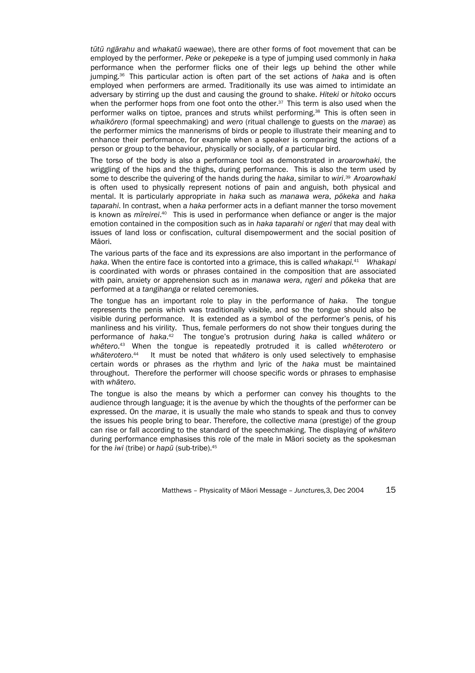*tūtū ngārahu* and *whakatū waewae*), there are other forms of foot movement that can be employed by the performer. *Peke* or *pekepeke* is a type of jumping used commonly in *haka* performance when the performer flicks one of their legs up behind the other while jumping.36 This particular action is often part of the set actions of *haka* and is often employed when performers are armed. Traditionally its use was aimed to intimidate an adversary by stirring up the dust and causing the ground to shake. *Hiteki* or *hitoko* occurs when the performer hops from one foot onto the other.<sup>37</sup> This term is also used when the performer walks on tiptoe, prances and struts whilst performing.38 This is often seen in *whaikōrero* (formal speechmaking) and *wero* (ritual challenge to guests on the *marae*) as the performer mimics the mannerisms of birds or people to illustrate their meaning and to enhance their performance, for example when a speaker is comparing the actions of a person or group to the behaviour, physically or socially, of a particular bird.

The torso of the body is also a performance tool as demonstrated in *aroarowhaki*, the wriggling of the hips and the thighs, during performance. This is also the term used by some to describe the quivering of the hands during the *haka*, similar to *wiri*. <sup>39</sup>*Aroarowhaki* is often used to physically represent notions of pain and anguish, both physical and mental. It is particularly appropriate in *haka* such as *manawa wera*, *pōkeka* and *haka taparahi*. In contrast, when a *haka* performer acts in a defiant manner the torso movement is known as *mīreirei*. 40 This is used in performance when defiance or anger is the major emotion contained in the composition such as in *haka taparahi* or *ngeri* that may deal with issues of land loss or confiscation, cultural disempowerment and the social position of Māori.

The various parts of the face and its expressions are also important in the performance of *haka*. When the entire face is contorted into a grimace, this is called *whakapi.*41 *Whakapi* is coordinated with words or phrases contained in the composition that are associated with pain, anxiety or apprehension such as in *manawa wera*, *ngeri* and *pōkeka* that are performed at a *tangihanga* or related ceremonies.

The tongue has an important role to play in the performance of *haka*. The tongue represents the penis which was traditionally visible, and so the tongue should also be visible during performance. It is extended as a symbol of the performer's penis, of his manliness and his virility. Thus, female performers do not show their tongues during the performance of *haka*. 42 The tongue's protrusion during *haka* is called *whātero* or *whētero*. 43 When the tongue is repeatedly protruded it is called *whēterotero* or *whāterotero*. 44 It must be noted that *whātero* is only used selectively to emphasise certain words or phrases as the rhythm and lyric of the *haka* must be maintained throughout. Therefore the performer will choose specific words or phrases to emphasise with *whātero*.

The tongue is also the means by which a performer can convey his thoughts to the audience through language; it is the avenue by which the thoughts of the performer can be expressed. On the *marae*, it is usually the male who stands to speak and thus to convey the issues his people bring to bear. Therefore, the collective *mana* (prestige) of the group can rise or fall according to the standard of the speechmaking. The displaying of *whātero* during performance emphasises this role of the male in Māori society as the spokesman for the *iwi* (tribe) or *hapū* (sub-tribe).45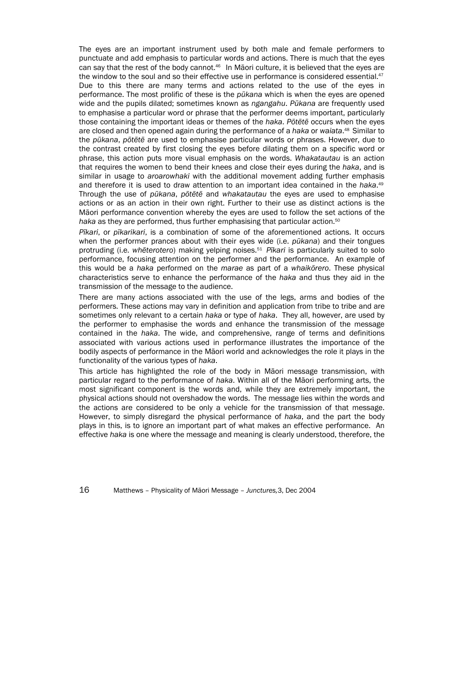The eyes are an important instrument used by both male and female performers to punctuate and add emphasis to particular words and actions. There is much that the eyes can say that the rest of the body cannot.<sup>46</sup> In Māori culture, it is believed that the eyes are the window to the soul and so their effective use in performance is considered essential.<sup>47</sup> Due to this there are many terms and actions related to the use of the eyes in performance. The most prolific of these is the *pūkana* which is when the eyes are opened wide and the pupils dilated; sometimes known as *ngangahu*. *Pūkana* are frequently used to emphasise a particular word or phrase that the performer deems important, particularly those containing the important ideas or themes of the *haka*. *Pōtētē* occurs when the eyes are closed and then opened again during the performance of a *haka* or *waiata*. 48 Similar to the *pūkana*, *pōtētē* are used to emphasise particular words or phrases. However, due to the contrast created by first closing the eyes before dilating them on a specific word or phrase, this action puts more visual emphasis on the words. *Whakatautau* is an action that requires the women to bend their knees and close their eyes during the *haka*, and is similar in usage to *aroarowhaki* with the additional movement adding further emphasis and therefore it is used to draw attention to an important idea contained in the *haka*. 49 Through the use of *pūkana*, *pōtētē* and *whakatautau* the eyes are used to emphasise actions or as an action in their own right. Further to their use as distinct actions is the Māori performance convention whereby the eyes are used to follow the set actions of the haka as they are performed, thus further emphasising that particular action.<sup>50</sup>

*Pīkari*, or *pīkarikari*, is a combination of some of the aforementioned actions. It occurs when the performer prances about with their eyes wide (i.e. *pūkana*) and their tongues protruding (i.e. *whēterotero*) making yelping noises.51 *Pīkari* is particularly suited to solo performance, focusing attention on the performer and the performance. An example of this would be a *haka* performed on the *marae* as part of a *whaikōrero*. These physical characteristics serve to enhance the performance of the *haka* and thus they aid in the transmission of the message to the audience.

There are many actions associated with the use of the legs, arms and bodies of the performers. These actions may vary in definition and application from tribe to tribe and are sometimes only relevant to a certain *haka* or type of *haka*. They all, however, are used by the performer to emphasise the words and enhance the transmission of the message contained in the *haka*. The wide, and comprehensive, range of terms and definitions associated with various actions used in performance illustrates the importance of the bodily aspects of performance in the Māori world and acknowledges the role it plays in the functionality of the various types of *haka*.

This article has highlighted the role of the body in Māori message transmission, with particular regard to the performance of *haka*. Within all of the Māori performing arts, the most significant component is the words and, while they are extremely important, the physical actions should not overshadow the words. The message lies within the words and the actions are considered to be only a vehicle for the transmission of that message. However, to simply disregard the physical performance of *haka*, and the part the body plays in this, is to ignore an important part of what makes an effective performance. An effective *haka* is one where the message and meaning is clearly understood, therefore, the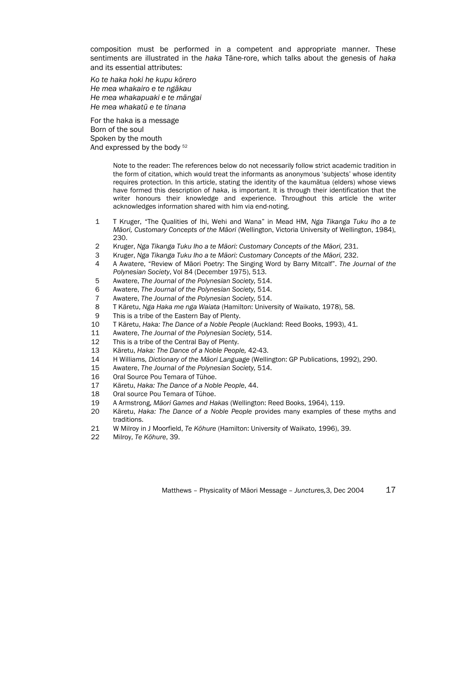composition must be performed in a competent and appropriate manner. These sentiments are illustrated in the *haka* Tāne-rore, which talks about the genesis of *haka* and its essential attributes:

*Ko te haka hoki he kupu kōrero He mea whakairo e te ngākau He mea whakapuaki e te māngai He mea whakatū e te tinana* 

For the haka is a message Born of the soul Spoken by the mouth And expressed by the body 52

> Note to the reader: The references below do not necessarily follow strict academic tradition in the form of citation, which would treat the informants as anonymous 'subjects' whose identity requires protection. In this article, stating the identity of the kaumātua (elders) whose views have formed this description of *haka*, is important. It is through their identification that the writer honours their knowledge and experience. Throughout this article the writer acknowledges information shared with him via end-noting.

- 1 T Kruger, "The Qualities of Ihi, Wehi and Wana" in Mead HM, *Nga Tikanga Tuku Iho a te Māori, Customary Concepts of the Māori* (Wellington, Victoria University of Wellington, 1984), 230.
- 2 Kruger, *Nga Tikanga Tuku Iho a te Māori: Customary Concepts of the Māori,* 231.
- 3 Kruger, *Nga Tikanga Tuku Iho a te Māori: Customary Concepts of the Māori,* 232.
- 4 A Awatere, "Review of Māori Poetry: The Singing Word by Barry Mitcalf". *The Journal of the Polynesian Society*, Vol 84 (December 1975), 513.
- 5 Awatere, *The Journal of the Polynesian Society,* 514.
- 6 Awatere, *The Journal of the Polynesian Society,* 514.
- 7 Awatere, *The Journal of the Polynesian Society,* 514.
- 8 T Kāretu, *Nga Haka me nga Waiata* (Hamilton: University of Waikato, 1978), 58.
- 9 This is a tribe of the Eastern Bay of Plenty.
- 10 T Kāretu, *Haka: The Dance of a Noble People* (Auckland: Reed Books, 1993), 41.
- 11 Awatere, *The Journal of the Polynesian Society,* 514.
- 12 This is a tribe of the Central Bay of Plenty.
- 13 Kāretu, *Haka: The Dance of a Noble People,* 42-43.
- 14 H Williams, *Dictionary of the Māori Language* (Wellington: GP Publications, 1992), 290.
- 15 Awatere, *The Journal of the Polynesian Society,* 514.
- 16 Oral Source Pou Temara of Tūhoe.
- 17 Kāretu, *Haka: The Dance of a Noble People*, 44.
- 18 Oral source Pou Temara of Tūhoe.
- 19 A Armstrong, *Māori Games and Hakas* (Wellington: Reed Books, 1964), 119.
- 20 Kāretu, *Haka: The Dance of a Noble People* provides many examples of these myths and traditions.
- 21 W Milroy in J Moorfield, *Te Kōhure* (Hamilton: University of Waikato, 1996), 39.
- 22 Milroy, *Te Kōhure*, 39.